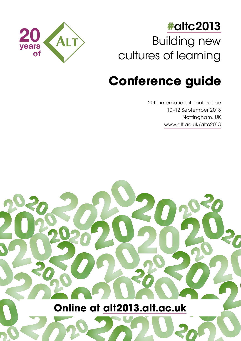

## **#**[altc2013](http://twitter.com/#altc2013) Building new cultures of learning

# **Conference guide**

20th international conference 10–12 September 2013 Nottingham, UK [www.alt.ac.uk/altc2013](http://www.alt.ac.uk/altc2013)

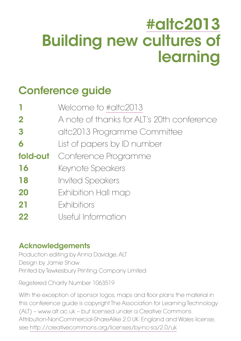# [#altc2013](http://twitter.com/#altc2013) Building new cultures of learning

## Conference guide

|                  | Welcome to #altc2013                       |
|------------------|--------------------------------------------|
| $\mathbf 2$      | A note of thanks for ALT's 20th conference |
| $\boldsymbol{3}$ | altc2013 Programme Committee               |
| 6                | List of papers by ID number                |
| fold-out         | Conference Programme                       |
| 16               | Keynote Speakers                           |
| 18               | <b>Invited Speakers</b>                    |
| 20               | Exhibition Hall map                        |
| 21               | Exhibitiors                                |
| 22               | Useful Information                         |

### Acknowledgements

Production editing by Anna Davidge, ALT Design by Jamie Shaw Printed by Tewkesbury Printing Company Limited

Registered Charity Number 1063519

With the exception of sponsor logos, maps and floor plans the material in this conference guide is copyright The Association for Learning Technology (ALT) – www.alt.ac.uk – but licensed under a Creative Commons Attribution-NonCommercial-ShareAlike 2.0 UK: England and Wales license, see <http://creativecommons.org/licenses/by-nc-sa/2.0/uk>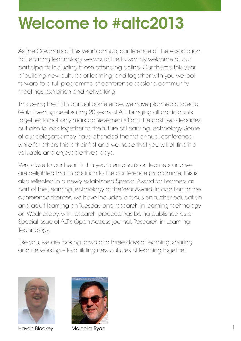# Welcome to [#altc2013](http://twitter.com/#altc2013)

As the Co-Chairs of this year's annual conference of the Association for Learning Technology we would like to warmly welcome all our participants including those attending online. Our theme this year is 'building new cultures of learning' and together with you we look forward to a full programme of conference sessions, community meetings, exhibition and networking.

This being the 20th annual conference, we have planned a special Gala Evening celebrating 20 years of ALT, bringing all participants together to not only mark achievements from the past two decades, but also to look together to the future of Learning Technology. Some of our delegates may have attended the first annual conference, while for others this is their first and we hope that you will all find it a valuable and enjoyable three days.

Very close to our heart is this year's emphasis on learners and we are delighted that in addition to the conference programme, this is also reflected in a newly established Special Award for Learners as part of the Learning Technology of the Year Award. In addition to the conference themes, we have included a focus on further education and adult learning on Tuesday and research in learning technology on Wednesday, with research proceedings being published as a Special Issue of ALT's Open Access journal, Research in Learning Technology.

Like you, we are looking forward to three days of learning, sharing and networking – to building new cultures of learning together.



Haydn Blackey Malcolm Ryan

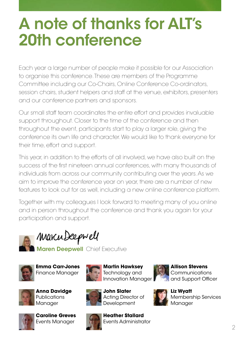# A note of thanks for ALT's 20th conference

Each year a large number of people make it possible for our Association to organise this conference. These are members of the Programme Committee including our Co-Chairs, Online Conference Co-ordinators, session chairs, student helpers and staff at the venue, exhibitors, presenters and our conference partners and sponsors.

Our small staff team coordinates the entire effort and provides invaluable support throughout. Closer to the time of the conference and then throughout the event, participants start to play a larger role, giving the conference its own life and character. We would like to thank everyone for their time, effort and support.

This year, in addition to the efforts of all involved, we have also built on the success of the first nineteen annual conferences, with many thousands of individuals from across our community contributing over the years. As we aim to improve the conference year on year, there are a number of new features to look out for as well, including a new online conference platform.

Together with my colleagues I look forward to meeting many of you online and in person throughout the conference and thank you again for your participation and support.



Marcu Deepwell

**Maren Deepwell** Chief Executive







**Anna Davidge Publications** Manager



**Caroline Greves** Events Manager



Acting Director of **Development Heather Stallard**

**John Slater**

**Martin Hawksey** Technology and



**Allison Stevens Communications** and Support Officer



**Liz Wyatt** Membership Services Manager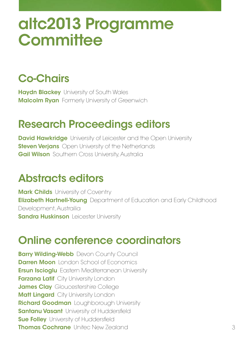# altc2013 Programme **Committee**

## Co-Chairs

**Haydn Blackey** University of South Wales **Malcolm Ryan** Formerly University of Greenwich

## Research Proceedings editors

**David Hawkridge** University of Leicester and the Open University **Steven Verjans** Open University of the Netherlands **Gail Wilson** Southern Cross University, Australia

### Abstracts editors

**Mark Childs** University of Coventry **Elizabeth Hartnell-Young** Department of Education and Early Childhood Development, Austrailia **Sandra Huskinson** Leicester University

## Online conference coordinators

**Barry Wilding-Webb** Devon County Council **Darren Moon** London School of Economics **Ersun Iscioglu** Eastern Mediterranean University **Farzana Latif** City University London **James Clay** Gloucestershire College **Matt Lingard** City University London Richard Goodman Loughborough University **Santanu Vasant** University of Huddersfield **Sue Folley** University of Huddersfield **Thomas Cochrane** United New Zealand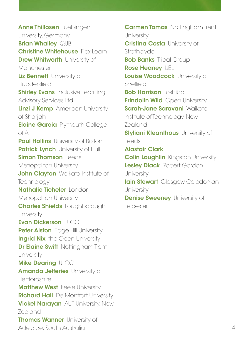Anne Thillosen Tuebingen University, Germany **Brian Whalley QUB** Christine Whitehouse Flex-Learn **Drew Whitworth University of** Manchester Liz **Bennett** University of Huddersfield **Shirley Evans** Inclusive Learning Advisory Services Ltd Linzi J Kemp American University of Sharjah **Elaine Garcia** Plymouth College of Art **Paul Hollins** University of Bolton **Patrick Lynch** University of Hull **Simon Thomson Leeds** Metropolitan University John Clayton Waikato Institute of **Technology** Nathalie Ticheler London Metropolitan University **Charles Shields** Loughborough **University** Evan Dickerson ULCC Peter Alston Edge Hill University **Ingrid Nix** the Open University Dr Elaine Swift Nottingham Trent **University Mike Dearing ULCC** Amanda Jefferies University of **Hertfordshire Matthew West Keele University Richard Hall** De Montfort University **Vickel Narayan** AUT University, New Zealand **Thomas Wanner** University of Adelaide, South Australia

**Carmen Tomas** Nottingham Trent **University** 

**Cristina Costa** University of **Strathclyde Bob Banks** Tribal Group Rose Heaney UEL Louise Woodcock University of Sheffield **Bob Harrison** Toshiba **Frindolin Wild Open University** 

Sarah-Jane Saravani Waikato Institute of Technology, New Zealand

**Styliani Kleanthous** University of Leeds

Alastair Clark

**Colin Loughlin** Kingston University Lesley Diack Robert Gordon **University** 

**Iain Stewart** Glasgow Caledonian **University** 

**Denise Sweeney** University of Leicester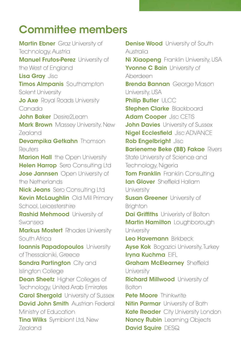### Committee members

**Martin Ebner** Graz University of Technology, Austria **Manuel Frutos-Perez** University of the West of England Lisa Gray Jisc **Timos Almpanis** Southampton Solent University **Jo Axe** Royal Roads University Canada John Baker Desire2Learn **Mark Brown** Massey University, New Zealand Devampika Getkahn Thomson Reuters **Marion Hall** the Open University Helen Harrop Sero Consulting Ltd **Jose Jannsen** Open University of the Netherlands **Nick Jeans** Sero Consulting Ltd Kevin McLaughlin Old Mill Primary School, Leicestershire **Rashid Mehmood** University of Swansea **Markus Mostert** Rhodes University South Africa **Ioannis Papadopoulos** University of Thessaloniki, Greece **Sandra Partington** City and Islington College **Dean Sheetz** Higher Colleges of Technology, United Arab Emirates **Carol Shergold** University of Sussex **David John Smith** Austrian Federal Ministry of Education **Tina Wilks** Symbiont Ltd, New Zealand

**Denise Wood** University of South Australia Ni Xiaopeng Franklin University, USA Yvonne C Bain University of Aberdeen **Brenda Bannan** George Mason University, USA **Philip Butler ULCC Stephen Clarke Blackboard** Adam Cooper Jisc CETIS **John Davies** University of Sussex **Nigel Ecclesfield** Jisc ADVANCE Rob Engelbright Jisch **Barieneme Beke (BB) Fakae Rivers** State University of Science and Technology, Nigeria **Tom Franklin** Franklin Consulting Ian Glover Sheffield Hallam **University Susan Greener** University of **Brighton Dai Griffiths** Univeristy of Bolton **Martin Hamilton** Loughborough **University** Leo Havemann Birkbeck **Ayse Kok** Bogazici University, Turkey Iryna Kuchma EIFL **Graham McElearney Sheffield University Richard Millwood** University of Bolton Pete Moore Thinkwrite **Nitin Parmar** University of Bath Kate Reader City University London **Nancy Rubin** Learning Objects

David Squire DESQ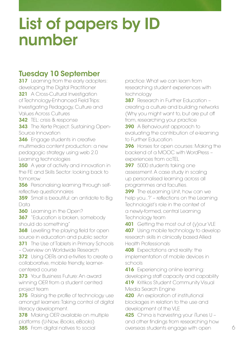# List of papers by ID number

### Tuesday 10 September

**317** Learning from the early adopters: developing the Digital Practitioner

**321** A Cross-Cultural Investigation of Technology-Enhanced Field Trips: Investigating Pedagogy, Culture and Values Across Cultures

342 TEL: crisis & response

**343** The Xerte Project: Sustaining Open-Source Innovation

**346** Engage students in creative multimedia content production: a new pedagogic strategy using web 2.0 Learning technologies

**350** A year of activity and innovation in the FE and Skills Sector: looking back to tomorrow

**356** Personalising learning through selfreflective questionnaires

**359** Small is beautiful: an antidote to Big Data

**360** Learning in the Open?

**367** "Education is broken, somebody should do something"

**368** Levelling the playing field for open source in education and public sector

**371** The Use of Tablets in Primary Schools – Overview on Worldwide Research

**372** Using OERs and e-tivities to create a collaborative, mobile friendly, learnercentered course

**373** Your Business Future: An award winning OER from a student centred project team

**375** Raising the profile of technology use amongst learners: Taking control of digital literacy development.

**378** Making OER available on multiple platforms (U-Now, iBooks, eBooks)

**385** From digital natives to social

practice: What we can learn from researching student experiences with technology

**387** Research in Further Education creating a culture and building networks (Why you might want to, but are put off from, researching your practice

**390** A Behaviourist approach to evaluating the contribution of e-learning to Further Education

**396** Horses for open courses: Making the backend of a MOOC with WordPress – experiences from ocTEL

397 5000 students taking one assessment. A case study in scaling up personalised learning across all programmes and faculties.

**399** The eLearning Unit, how can we help you..?' – reflections on the Learning Technologist's role in the context of a newly-formed, central Learning Technology team

**401** Getting the most out of (y) our VLE **407** Using mobile technology to develop research skills in clinically based Allied Health Professionals

**408** Expectations and reality: the implementation of mobile devices in schools

416 Experiencing online learning: developing staff capacity and capability 419 Kritikos Student Community Visual

Media Search Engine 420 An exploration of institutional blockages in relation to the use and

development of the VLE

425 China is harvesting your iTunes U and other findings from researching how overseas students engage with open 6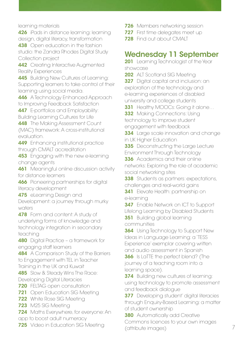learning materials

426 iPads in distance learning: learning design, digital literacy, transformation

438 Open education in the fashion studio: the Zandra Rhodes Digital Study Collection project

**442** Creating Interactive Augmented Reality Experiences

**445** Building New Cultures of Learning: Supporting learners to take control of their learning using social media.

446 A Technology Enhanced Approach to Improving Feedback Satisfaction

**447** E-portfolios and Employability: Building Learning Cultures for Life

448 The Making Assessment Count (MAC) framework: A cross-institutional evaluation.

**449** Enhancing institutional practice through CMALT accreditation

**453** Engaging with the new e-learning change agents

**461** Meaningful online discussion activity for distance learners

**466** Pioneering partnerships for digital literacy development

475 eLearning Design and

Development: a journey through murky waters

**478** Form and content: A study of underlying forms of knowledge and technology integration in secondary teaching

480 Digital Practice – a framework for engaging staff learners

**484** A Comparison Study of the Barriers to Engagement with TEL in Teacher Training in the UK and Kuwait

**485** Slow & Steady Wins The Race: Developing Digital Literacies

**720** FELTAG open consultation

**721** Open Education SIG Meeting

**722** White Rose SIG Meeting

723 M25 SIG Meeting

**724** Maths Everywhere, for everyone: An

app to boost adult numeracy

**725** Video in Education SIG Meeting

**726** Members networking session

**727** First time delegates meet up

728 Find out about CMALT

### Wednesday 11 September

201 Learning Technologist of the Year showcase

202 ALT Scotland SIG Meeting

**327** Digital capital and inclusion: an exploration of the technology and e-learning experiences of disabled university and college students

**331** Healthy MOOCs: Going it alone...

**332** Making Connections: Using technology to improve student engagement with feedback

**334** Large scale innovation and change in UK Higher Education

**335** Deconstructing the Large Lecture Environment Through Technology

336 Academics and their online networks: Exploring the role of academic social networking sites

338 Students as partners: expectations, challenges and real-world gains

**341** Elevate Health: partnership on e-learning

**347** Enable Network on ICT to Support Lifelong Learning by Disabled Students

**351** Building global learning communities

**364** Using Technology to Support New Ideas in Language Learning: a 'TESS Experience' exemplar covering written and audio assessment in Spanish

**366** Is LaTTE the perfect blend? (The journey of a teaching room into a learning space).

**374** Building new cultures of learning: using technology to promote assessment and feedback dialogue

**377** Developing student' digital literacies through Enquiry-Based Learning: a matter of student ownership

**380** Automatically add Creative Commons licences to your own images (attribute images) 7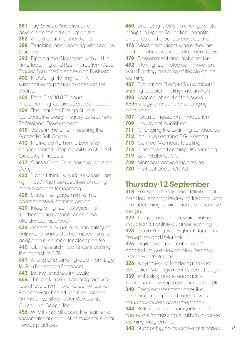**381** Tag & track: Analytics as a

development and evaluation tool

**382** Analytics at the sharp end.

**388** Teaching and Learning with Lecture **Capture** 

**393** Flipping the Classroom with Just in Time Teaching and Peer Instruction: Case Studies from the Sciences and Business 402 NOOCing Nottingham: A

sustainable approach to open online courses

403 From 0 to 80,000 hours:

Implementing lecture capture at scale **409** The Learning Design Studio:

Collaborative Design Inquiry as Teachers' Professional Development

410 Voice in the Ether - Seeking the Authentic Self Online

**412** Motivated Authentic Learning: Engagement to Employability in Student Groupwork Projects

417 Carpe Diem Collaborative Learning Design

423 "I don't think I would be where I am right now.": Pupil perspectives on using mobile devices for learning.

428 Student engagement with a content-based learning design

429 Integrating technologies into 'authentic' assessment design: An affordances approach

434 Accessibility, usability and safety of online environments: the implications for designing e-learning for older people

440 OER Research Hub: Understanding the impact of OER

441 A long and winding road: From Elgg to G+ (but not via Facebook!)

443 Letting Teachers Innovate

**454** The Work-based Learning Maturity Toolkit: Evolution into a Reflective Tool to Promote Work-based Learning, based on the University of Ulster Viewpoints Curriculum Design Tool

456 Why it's not all about the learner: a sociomaterial account of students' digital literacy practices

**460** Extending CMALT to a range of staff groups in Higher Education: benefits, difficulties and practical considerations

473 Meeting students where they are and not where we would like them to be

479 E-assessment and globalization

**482** Making technological innovation work: Building a culture of flexible online learning

**487** Evaluating 'Thetford Tomb raiders': Sharing research findings via an App

493 Keeping ahead of the curve. Technology and our ever-changing consumer.

**707** Focus on research Introduction

**709** How to get published

**711** Changing the Learning Landscape

**712** Inclusive Learning SIG Meeting

**713** Certified Members Meeting

714 Games and Learning SIG Meeting

719 East Midlands SIG

**729** Members networking session

**730** Find out about CMALT

### Thursday 12 September

**318** Emerging trends and definitions of blended learning: Reviewing informal and formal learning environments and course desian.

**322** The journey is the reward: online induction for online distance learning

323 Open Badges in Higher Education -Perception and Potential

325 Digital badge dashboards: A conceptual overview for New Zealand District Health Boards.

**326** A Synthesis of Modelling Tools for Education Management Systems Design 339 eMarking and eFeedback –

institutional developments across the UK

**340** Flexible assessment goes live: delivering a self-paced module with standards-based assessment tools

**344** Building a community-informed framework for assuring quality in distance learning programmes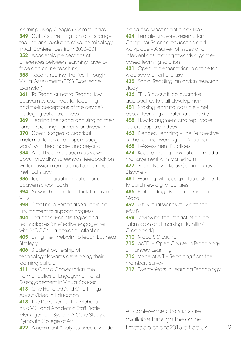learning using Google+ Communities **349** Out of something rich and strange: the use and evolution of key terminology in ALT Conferences from 2000–2011

**352** Academic perceptions of differences between teaching face-toface and online teaching

**358** Reconstructing the Past through Visual Assessment (TESS Experience exemplar)

**361** To iTeach or not to iTeach: How academics use iPads for teaching and their perceptions of the device's pedagogical affordances.

**369** Hearing their song and singing their tune… Creating harmony or discord? 370 Open Badges: a practical

implementation of an open-badge workflow in healthcare and beyond

**384** Allied health academic's views about providing screencast feedback on written assignment: a small scale mixed method study

**386** Technological innovation and academic workloads

**394** Now is the time to rethink the use of VLEs

**398** Creating a Personalised Learning Environment to support progress

404 Learner driven strategies and technologies for effective engagement with MOOCs – a personal reflection

405 Using the 'TheBrain' to teach Business Strategy

406 Student ownership of technology:towards developing their learning culture

411 It's Only a Conversation: the Hermeneutics of Engagement and Disengagement in Virtual Spaces

413 One Hundred And One Things About Video In Education

418 The Development of Mahara as a VRE and Academic Staff Profile Management System: A Case Study of Plymouth College of Art

**422** Assessment Analytics: should we do

it and if so, what might it look like?

424 Female under-representation in Computer Science education and workplace – A survey of issues and interventions, moving towards a gamebased learning solution.

431 Open implementation practice for wide-scale e-Portfolio use

**435** Social Reading: an action research study

436 TELUS about it: collaborative approaches to staff development

451 Making learning possible – net based learning at Dalarna University

458 How to augment and repurpose lecture capture videos

463 Blended Learning – The Perspective of the Learner Working on Placement.

468 E-Assessment Practices

474 Keep climbing - institutional media management with Matterhorn

**477** Social Networks as Communities of **Discovery** 

**481** Working with postgraduate students to build new digital cultures

**486** Embedding Dynamic Learning Maps

**497** Are Virtual Worlds still worth the effort?

**498** Reviewing the impact of online submission and marking (Turnitin/ Grademark)

710 Mooc SIG Launch

715 ocTEL – Open Course in Technology Enhanced Learning

716 Voice of ALT - Reporting from the members survey

**717** Twenty Years in Learning Technology

All conference abstracts are available through the online timetable at altc2013.alt.ac.uk 9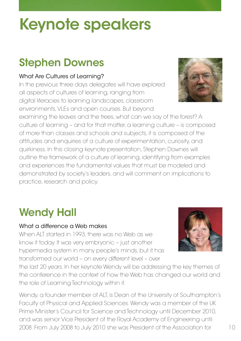# Keynote speakers

## Stephen Downes

#### What Are Cultures of Learning?

In the previous three days delegates will have explored all aspects of cultures of learning, ranging from digital literacies to learning landscapes, classroom environments, VLEs and open courses. But beyond

examining the leaves and the trees, what can we say of the forest? A culture of learning – and for that matter, a learning culture – is composed of more than classes and schools and subjects, it is composed of the attitudes and enquiries of a culture of experimentation, curiosity, and quirkiness. In this closing keynote presentation, Stephen Downes will outline the framework of a culture of learning, identifying from examples and experiences the fundamental values that must be modeled and demonstrated by society's leaders, and will comment on implications to practice, research and policy.

## Wendy Hall

#### What a difference a Web makes

When ALT started in 1993, there was no Web as we know it today. It was very embryonic – just another hypermedia system in many people's minds, but it has transformed our world – on every different level – over

the last 20 years. In her keynote Wendy will be addressing the key themes of the conference in the context of how the Web has changed our world and the role of Learning Technology within it.

Wendy, a founder member of ALT, is Dean of the University of Southampton's Faculty of Physical and Applied Sciences. Wendy was a member of the UK Prime Minister's Council for Science and Technology until December 2010, and was senior Vice President of the Royal Academy of Engineering until 2008. From July 2008 to July 2010 she was President of the Association for



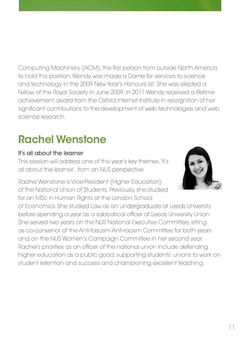Computing Machinery (ACM), the first person from outside North America to hold this position. Wendy was made a Dame for services to science and technology in the 2009 New Year's Honours list. She was elected a Fellow of the Royal Society in June 2009. In 2011 Wendy received a lifetime achievement award from the Oxford Internet Institute in recognition of her significant contributions to the development of web technologies and web science research.

## Rachel Wenstone

#### It's all about the learner

This session will address one of this year's key themes, 'It's all about the learner', from an NUS perspective.

Rachel Wenstone is Vice-President (Higher Education) of the National Union of Students. Previously, she studied for an MSc in Human Rights at the London School



of Economics. She studied Law as an undergraduate at Leeds University before spending a year as a sabbatical officer at Leeds University Union. She served two years on the NUS National Executive Committee, sitting as co-convenor of the Anti-fascism Anti-racism Committee for both years and on the NUS Women's Campaign Committee in her second year. Rachel's priorities as an officer of the national union include defending higher education as a public good, supporting students' unions to work on student retention and success and championing excellent teaching.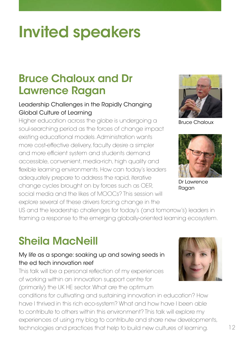# Invited speakers

### Bruce Chaloux and Dr Lawrence Ragan

#### Leadership Challenges in the Rapidly Changing Global Culture of Learning

Higher education across the globe is undergoing a soul-searching period as the forces of change impact existing educational models. Administration wants more cost-effective delivery, faculty desire a simpler and more efficient system and students demand accessible, convenient, media-rich, high quality and flexible learning environments. How can today's leaders adequately prepare to address the rapid, iterative change cycles brought on by forces such as OER, social media and the likes of MOOCs? This session will explore several of these drivers forcing change in the



Bruce Chaloux



Dr Lawrence Ragan

US and the leadership challenges for today's (and tomorrow's) leaders in framing a response to the emerging globally-oriented learning ecosystem.

## Sheila MacNeill

#### My life as a sponge: soaking up and sowing seeds in the ed tech innovation reef

This talk will be a personal reflection of my experiences of working within an innovation support centre for (primarily) the UK HE sector. What are the optimum

conditions for cultivating and sustaining innovation in education? How have I thrived in this rich eco-system? What and how have I been able to contribute to others within this environment? This talk will explore my experiences of using my blog to contribute and share new developments, technologies and practices that help to build new cultures of learning.

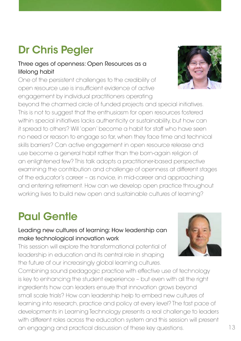## Dr Chris Pegler

#### Three ages of openness: Open Resources as a lifelong habit

One of the persistent challenges to the credibility of open resource use is insufficient evidence of active engagement by individual practitioners operating

beyond the charmed circle of funded projects and special initiatives. This is not to suggest that the enthusiasm for open resources fostered within special initiatives lacks authenticity or sustainability, but how can it spread to others? Will 'open' become a habit for staff who have seen no need or reason to engage so far, when they face time and technical skills barriers? Can active engagement in open resource release and use become a general habit rather than the born-again religion of an enlightened few? This talk adopts a practitioner-based perspective examining the contribution and challenge of openness at different stages of the educator's career – as novice, in mid-career and approaching and entering retirement. How can we develop open practice throughout working lives to build new open and sustainable cultures of learning?

## Paul Gentle

#### Leading new cultures of learning: How leadership can make technological innovation work

This session will explore the transformational potential of leadership in education and its central role in shaping the future of our increasingly global learning cultures.

Combining sound pedagogic practice with effective use of technology is key to enhancing the student experience – but even with all the right ingredients how can leaders ensure that innovation grows beyond small scale trials? How can leadership help to embed new cultures of learning into research, practice and policy at every level? The fast pace of developments in Learning Technology presents a real challenge to leaders with different roles across the education system and this session will present an engaging and practical discussion of these key questions.



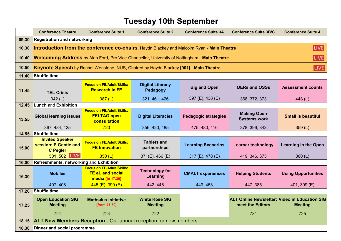### **Tuesday 10th September**

|       | <b>Conference Theatre</b>                                                                                | <b>Conference Suite 1</b>                                                                           | <b>Conference Suite 2</b>               | <b>Conference Suite 3A</b>  | <b>Conference Suite 3B/C</b>                                             | <b>Conference Suite 4</b>   |  |  |
|-------|----------------------------------------------------------------------------------------------------------|-----------------------------------------------------------------------------------------------------|-----------------------------------------|-----------------------------|--------------------------------------------------------------------------|-----------------------------|--|--|
| 09.30 | <b>Registration and networking</b>                                                                       |                                                                                                     |                                         |                             |                                                                          |                             |  |  |
| 10.30 | <b>LIVE</b><br>Introduction from the conference co-chairs, Haydn Blackey and Malcolm Ryan - Main Theatre |                                                                                                     |                                         |                             |                                                                          |                             |  |  |
| 10.40 |                                                                                                          | <b>Welcoming Address</b> by Alan Ford, Pro Vice-Chancellor, University of Nottingham - Main Theatre |                                         |                             |                                                                          | LIVE                        |  |  |
| 10.50 |                                                                                                          | Keynote Speech by Rachel Wenstone, NUS, Chaired by Haydn Blackey [901] - Main Theatre               |                                         |                             |                                                                          | <b>LIVE</b>                 |  |  |
| 11.40 | <b>Shuffle time</b>                                                                                      |                                                                                                     |                                         |                             |                                                                          |                             |  |  |
| 11.45 | <b>TEL Crisis</b>                                                                                        | <b>Focus on FE/Adult/Skills:</b><br><b>Research in FE</b>                                           | <b>Digital Literacy</b><br>Pedagogy     | <b>Big and Open</b>         | <b>OERs and OSSs</b>                                                     | <b>Assessment counts</b>    |  |  |
|       | 342(L)                                                                                                   | 387(L)                                                                                              | 321, 461, 426                           | 397 (E). 438 (E)            | 368, 372, 373                                                            | 448 (L)                     |  |  |
| 12.45 | <b>Lunch and Exhibition</b>                                                                              |                                                                                                     |                                         |                             |                                                                          |                             |  |  |
| 13.55 | <b>Global learning issues</b>                                                                            | <b>Focus on FE/Adult/Skills:</b><br><b>FELTAG open</b><br>consultation                              | <b>Digital Literacies</b>               | <b>Pedagogic strategies</b> | <b>Making Open</b><br><b>Systems work</b>                                | <b>Small is beautiful</b>   |  |  |
|       | 367, 484, 425                                                                                            | 720                                                                                                 | 356, 420, 485                           | 475, 480, 416               | 378, 396, 343                                                            | 359 $(L)$                   |  |  |
| 14.55 | <b>Shuffle time</b>                                                                                      |                                                                                                     |                                         |                             |                                                                          |                             |  |  |
| 15.00 | <b>Invited Speaker</b><br>session: P Gentle and<br><b>C</b> Pegler                                       | <b>Focus on FE/Adult/Skills:</b><br><b>FE Innovation</b>                                            | <b>Tablets and</b><br>partnerships      | <b>Learning Scenarios</b>   | <b>Learner technology</b>                                                | <b>Learning in the Open</b> |  |  |
|       | 501, 502 LIVE                                                                                            | 350(L)                                                                                              | 371(E), 466 (E)                         | 317 (E), 478 (E)            | 419, 346, 375                                                            | 360(L)                      |  |  |
| 16.00 | Refreshments, networking and Exhibition                                                                  |                                                                                                     |                                         |                             |                                                                          |                             |  |  |
| 16.30 | <b>Mobiles</b>                                                                                           | <b>Focus on FE/Adult/Skills:</b><br><b>FE eL and social</b><br>media [to 17.30]                     | <b>Technology for</b><br>Learning       | <b>CMALT</b> experiences    | <b>Helping Students</b>                                                  | <b>Using Opportunities</b>  |  |  |
|       | 407, 408                                                                                                 | $445$ (E), 390 (E)                                                                                  | 442, 446                                | 449, 453                    | 447, 385                                                                 | 401, 399 (E)                |  |  |
| 17.20 | Shuffle time                                                                                             |                                                                                                     |                                         |                             |                                                                          |                             |  |  |
| 17.25 | <b>Open Education SIG</b><br><b>Meeting</b>                                                              | <b>Maths4us initiative</b><br>[from 17.30]                                                          | <b>White Rose SIG</b><br><b>Meeting</b> |                             | <b>ALT Online Newsletter: Video in Education SIG</b><br>meet the Editors | <b>Meeting</b>              |  |  |
|       | 721                                                                                                      | 724                                                                                                 | 722                                     |                             | 731                                                                      | 725                         |  |  |
| 18.15 | <b>ALT New Members Reception</b> - Our annual reception for new members                                  |                                                                                                     |                                         |                             |                                                                          |                             |  |  |
| 18.30 | Dinner and social programme                                                                              |                                                                                                     |                                         |                             |                                                                          |                             |  |  |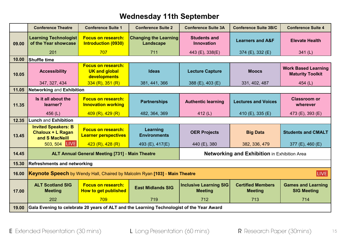### **Wednesday 11th September**

|       | <b>Conference Suite 1</b><br><b>Conference Suite 2</b><br><b>Conference Theatre</b>       |                                                                   | <b>Conference Suite 3A</b><br><b>Conference Suite 3B/C</b> |                                                 | <b>Conference Suite 4</b>                           |                                                       |
|-------|-------------------------------------------------------------------------------------------|-------------------------------------------------------------------|------------------------------------------------------------|-------------------------------------------------|-----------------------------------------------------|-------------------------------------------------------|
| 09.00 | <b>Learning Technologist</b><br>of the Year showcase                                      | <b>Focus on research:</b><br><b>Introduction (0930)</b>           | <b>Changing the Learning</b><br>Landscape                  | <b>Students and</b><br><b>Innovation</b>        | <b>Learners and A&amp;F</b>                         | <b>Elevate Health</b>                                 |
|       | 201                                                                                       | 707                                                               | 711                                                        | 443 (E), 338(E)                                 | 374 (E), 332 (E)                                    | 341(L)                                                |
| 10.00 | <b>Shuffle time</b>                                                                       |                                                                   |                                                            |                                                 |                                                     |                                                       |
| 10.05 | <b>Accessibility</b>                                                                      | <b>Focus on research:</b><br><b>UK and global</b><br>developments | <b>Ideas</b>                                               | <b>Lecture Capture</b>                          | <b>Moocs</b>                                        | <b>Work Based Learning</b><br><b>Maturity Toolkit</b> |
|       | 347, 327, 434                                                                             | $334$ (R), 351 (R)                                                | 381, 441, 366                                              | 388 (E), $403$ (E)                              | 331, 402, 487                                       | 454(L)                                                |
| 11.05 | <b>Networking and Exhibition</b>                                                          |                                                                   |                                                            |                                                 |                                                     |                                                       |
| 11.35 | Is it all about the<br>learner?                                                           | <b>Focus on research:</b><br><b>Innovation working</b>            | <b>Partnerships</b>                                        | <b>Authentic learning</b>                       | <b>Lectures and Voices</b>                          | <b>Classroom or</b><br>wherever                       |
|       | 456 $(L)$                                                                                 | 409(R), 429(R)                                                    | 482, 364, 369                                              | 412 $(L)$                                       | 410 (E), 335 (E)                                    | 473 (E), 393 (E)                                      |
| 12.35 | <b>Lunch and Exhibition</b>                                                               |                                                                   |                                                            |                                                 |                                                     |                                                       |
| 13.45 | <b>Invited Speakers: B</b><br><b>Chaloux + L Ragan</b><br>and S MacNeill                  | <b>Focus on research:</b><br><b>Learner perspectives</b>          | Learning<br><b>Environments</b>                            | <b>OER Projects</b>                             | <b>Big Data</b>                                     | <b>Students and CMALT</b>                             |
|       | 503, 504 LIVE                                                                             | 423 (R), 428 (R)                                                  | 493 (E), 417(E)                                            | 440 (E), 380                                    | 382, 336, 479                                       | 377 (E), 460 (E)                                      |
| 14.45 | <b>ALT Annual General Meeting [731] - Main Theatre</b>                                    |                                                                   |                                                            |                                                 | <b>Networking and Exhibition in Exhibition Area</b> |                                                       |
| 15.30 | <b>Refreshments and networking</b>                                                        |                                                                   |                                                            |                                                 |                                                     |                                                       |
| 16.00 | <b>LIVE</b><br>Keynote Speech by Wendy Hall, Chaired by Malcolm Ryan [103] - Main Theatre |                                                                   |                                                            |                                                 |                                                     |                                                       |
| 17.00 | <b>ALT Scotland SIG</b><br><b>Meeting</b>                                                 | <b>Focus on research:</b><br><b>How to get published</b>          | <b>East Midlands SIG</b>                                   | <b>Inclusive Learning SIG</b><br><b>Meeting</b> | <b>Certified Members</b><br><b>Meeting</b>          | <b>Games and Learning</b><br><b>SIG Meeting</b>       |
|       | 202                                                                                       | 709                                                               | 719                                                        | 712                                             | 713                                                 | 714                                                   |
| 19.00 | Gala Evening to celebrate 20 years of ALT and the Learning Technologist of the Year Award |                                                                   |                                                            |                                                 |                                                     |                                                       |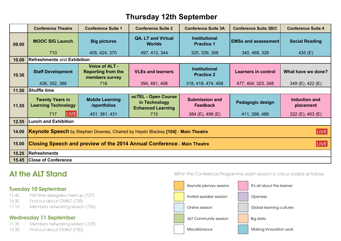### **Thursday 12th September**

|                | <b>Conference Theatre</b>                                                                      | <b>Conference Suite 1</b>                                            | <b>Conference Suite 2</b>                                        | <b>Conference Suite 3A</b>                | <b>Conference Suite 3B/C</b> | <b>Conference Suite 4</b>         |  |
|----------------|------------------------------------------------------------------------------------------------|----------------------------------------------------------------------|------------------------------------------------------------------|-------------------------------------------|------------------------------|-----------------------------------|--|
| 09.00          | <b>MOOC SIG Launch</b>                                                                         | <b>Big pictures</b>                                                  | QA, LT and Virtual<br><b>Worlds</b>                              | <b>Institutional</b><br><b>Practice 1</b> | <b>EMSs and assessment</b>   | <b>Social Reading</b>             |  |
|                | 710                                                                                            | 405, 424, 370                                                        | 497, 413, 344                                                    | 325, 339, 358                             | 340, 468, 326                | 435 $(E)$                         |  |
| 10.00          | <b>Refreshments and Exhibition</b>                                                             |                                                                      |                                                                  |                                           |                              |                                   |  |
| 10.30          | <b>Staff Development</b>                                                                       | <b>Voice of ALT -</b><br><b>Reporting from the</b><br>members survey | <b>VLEs and learners</b>                                         | <b>Institutional</b><br><b>Practice 2</b> | <b>Learners in control</b>   | What have we done?                |  |
|                | 436, 352, 386                                                                                  | 716                                                                  | 394, 481, 406                                                    | 318, 418, 474, 458                        | 477, 404, 323, 348           | 349 (E), 422 (E)                  |  |
| 11.50          | <b>Shuffle time</b>                                                                            |                                                                      |                                                                  |                                           |                              |                                   |  |
| 11.55          | <b>Twenty Years in</b><br><b>Learning Technology</b>                                           | <b>Mobile Learning</b><br>/eportfolios                               | ocTEL - Open Course<br>in Technology<br><b>Enhanced Learning</b> | <b>Submission and</b><br><b>Feedback</b>  | Pedagogic design             | <b>Induction and</b><br>placement |  |
|                | <b>LIVE</b><br>717                                                                             | 451, 361, 431                                                        | 715                                                              | 384 (E), 498 (E)                          | 411, 398, 486                | 322 (E), 463 (E)                  |  |
| 12.55          | <b>Lunch and Exhibition</b>                                                                    |                                                                      |                                                                  |                                           |                              |                                   |  |
| 14.00          | Keynote Speech by Stephen Downes, Chaired by Haydn Blackey [104] - Main Theatre<br><b>LIVE</b> |                                                                      |                                                                  |                                           |                              |                                   |  |
| 15.00          | <b>Closing Speech and preview of the 2014 Annual Conference - Main Theatre</b><br><b>LIVE</b>  |                                                                      |                                                                  |                                           |                              |                                   |  |
|                |                                                                                                |                                                                      |                                                                  |                                           |                              |                                   |  |
| 15.25<br>15.45 | Refreshments<br><b>Close of Conference</b>                                                     |                                                                      |                                                                  |                                           |                              |                                   |  |

### At the ALT Stand

#### Tuesday 10 September

11:45 First time delegates meet up (727)

- 16:30 Find out about CMALT (728)
- 17:10 Members networking session (726)

#### Wednesday 11 September

11:35 Members networking session (729)

13:35 Find out about CMALT (730)

**Within the Conference Programme, each session is**  Within the Conference Programme, each session is colour coded as follows:<br>
.

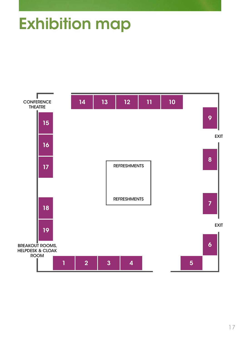# **Exhibition map**

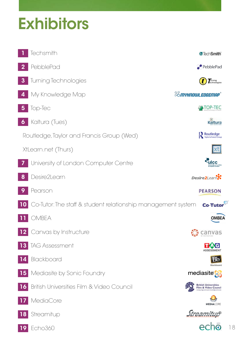# **Exhibitors**

|                     | Techsmith                                                    |                               | <b>X</b> TechSmith                                       |    |
|---------------------|--------------------------------------------------------------|-------------------------------|----------------------------------------------------------|----|
| $\mathbf 2$         | PebblePad                                                    |                               | <b>P</b> PebblePad                                       |    |
| $\boldsymbol{3}$    | Turning Technologies                                         |                               | Turning<br>Technologies                                  |    |
|                     | My Knowledge Map                                             | <b>&amp;S</b> myhnowledgemap' |                                                          |    |
| 5                   | Top-Tec                                                      |                               | TOP-TEC                                                  |    |
| $\ddot{\mathbf{6}}$ | Kaltura (Tues)                                               |                               | Kaltura                                                  |    |
|                     | Routledge, Taylor and Francis Group (Wed)                    |                               | Routledge                                                |    |
|                     | XtLearn.net (Thurs)                                          |                               |                                                          |    |
|                     | University of London Computer Centre                         |                               | ulcc                                                     |    |
| 8                   | Desire2Learn                                                 |                               | <b>Desire2LearnX</b>                                     |    |
|                     | Pearson                                                      |                               | <b>PEARSON</b>                                           |    |
| 10 <sub>1</sub>     | Co-Tutor: The staff & student relationship management system |                               | <b>Co-Tutor</b>                                          |    |
|                     | MBEA                                                         |                               | MBE/                                                     |    |
|                     | 12 Canvas by Instructure                                     |                               | canvas                                                   |    |
| 13                  | <b>TAG Assessment</b>                                        |                               | <b>ASSESSMENT</b>                                        |    |
|                     | Blackboard                                                   |                               | Bb<br>Blackboard                                         |    |
| 15                  | Mediasite by Sonic Foundry                                   |                               | mediasite <sup>5</sup>                                   |    |
| $\mathbf{16}$       | British Universities Film & Video Council                    |                               | <b>British Universities<br/>Film &amp; Video Council</b> |    |
|                     | MediaCore                                                    |                               | <b>MEDIACORE</b>                                         |    |
| 18                  | Streamitup                                                   |                               | <i>Streamitup</i>                                        |    |
| $\overline{19}$     | Echo360                                                      |                               | echo                                                     | 18 |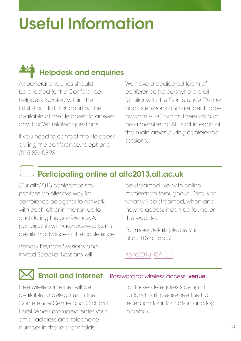# Useful Information

# **Helpdesk and enquiries**

All general enquiries should be directed to the Conference Helpdesk located within the Exhibition Hall. IT support will be available at the Helpdesk to answer any IT or Wifi related questions.

If you need to contact the Helpdesk during the conference, telephone 0115 876 0893

We have a dedicated team of conference helpers who are all familiar with the Conference Centre and its environs and are identifiable by white ALT-C t-shirts. There will also be a member of ALT staff in each of the main areas during conference sessions.

### Participating online at altc2013.alt.ac.uk

Our altc2013 conference site provides an effective way for conference delegates to network with each other in the run up to and during the conference. All participants will have received log-in details in advance of the conference.

Plenary Keynote Sessions and Invited Speaker Sessions will

be streamed live, with online moderation throughout. Details of what will be streamed, when and how to access it can be found on the website.

For more details please visit altc2013.alt.ac.uk

#### [#altc2013](http://twitter.com/#altc2013) [@A\\_L\\_T](http://twitter.com/A_L_T)

### **Email and internet** Password for wireless access: venue

Free wireless internet will be available to delegates in the Conference Centre and Orchard Hotel. When prompted enter your email address and telephone number in the relevant fields.

For those delegates staying in Rutland Hall, please see the hall reception for information and log in details.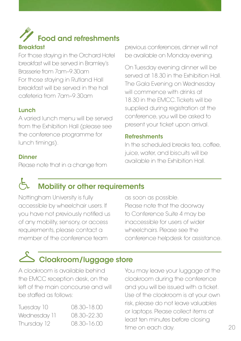# Food and refreshments

#### **Breakfast**

For those staying in the Orchard Hotel breakfast will be served in Bramley's Brasserie from 7am–9.30am For those staying in Rutland Hall breakfast will be served in the hall cafeteria from 7am–9.30am

#### Lunch

A varied lunch menu will be served from the Exhibition Hall (please see the conference programme for lunch timings).

#### **Dinner**

Please note that in a change from

previous conferences, dinner will not be available on Monday evening.

On Tuesday evening dinner will be served at 18.30 in the Exhibition Hall. The Gala Evening on Wednesday will commence with drinks at 18.30 in the EMCC. Tickets will be supplied during registration at the conference, you will be asked to present your ticket upon arrival.

#### Refreshments

In the scheduled breaks tea, coffee, juice, water, and biscuits will be available in the Exhibition Hall.

### **Mobility or other requirements**

Nottingham University is fully accessible by wheelchair users. If you have not previously notified us of any mobility, sensory, or access requirements, please contact a member of the conference team

as soon as possible. Please note that the doorway to Conference Suite 4 may be inaccessible for users of wider wheelchairs. Please see the conference helpdesk for assistance.

## **S** Cloakroom/luggage store

A cloakroom is available behind the EMCC reception desk, on the left of the main concourse and will be staffed as follows:

| Tuesday 10   |  |
|--------------|--|
| Wednesday 11 |  |
| Thursday 12  |  |

08.30–18.00 08.30-22.30 Thursday 12 08.30–16.00

You may leave your luggage at the cloakroom during the conference and you will be issued with a ticket. Use of the cloakroom is at your own risk, please do not leave valuables or laptops. Please collect items at least ten minutes before closing time on each day.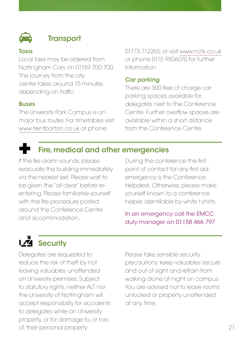

### **Transport**

#### **Taxis**

Local taxis may be ordered from Nottingham Cars on 01159 700 700. The journey from the city centre takes around 15 minutes depending on traffic.

#### **Buses**

The University Park Campus is on major bus routes. For timetables visit <www.trentbarton.co.uk>or phone

01773 712265; or visit <www.nctx.co.uk> or phone 0115 9506070 for further information.

#### Car parking

There are 300 free of charge car parking spaces available for delegates next to the Conference Centre. Further overflow spaces are available within a short distance from the Conference Centre.

### Fire, medical and other emergencies

If the fire alarm sounds, please evacuate the building immediately via the nearest exit. Please wait to be given the "all clear" before reentering. Please familiarise yourself with the fire procedure posted around the Conference Centre and accommodation.

During the conference the first point of contact for any first aid emergency is the Conference Helpdesk. Otherwise, please make yourself known to a conference helper, identifiable by white t-shirts.

In an emergency call the EMCC duty manager on 01158 466 797

## **1.74** Security

Delegates are requested to reduce the risk of theft by not leaving valuables unattended on University premises. Subject to statutory rights, neither ALT nor the University of Nottingham will accept responsibility for accidents to delegates while on University property, or for damage to, or loss of, their personal property.

Please take sensible security precautions: keep valuables secure and out of sight and refrain from walking alone at night on campus. You are advised not to leave rooms unlocked or property unattended at any time.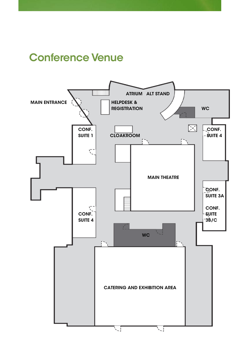### Conference Venue